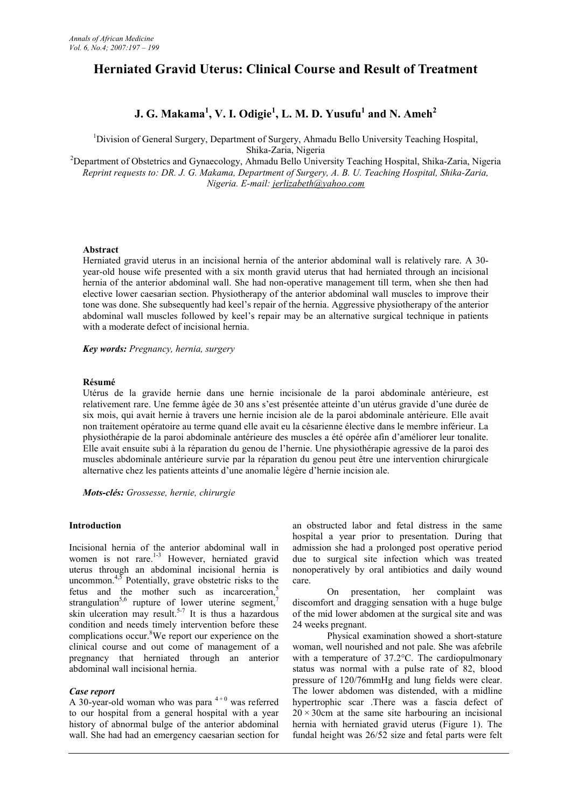# **Herniated Gravid Uterus: Clinical Course and Result of Treatment**

## **J. G. Makama<sup>1</sup> , V. I. Odigie<sup>1</sup> , L. M. D. Yusufu<sup>1</sup> and N. Ameh<sup>2</sup>**

<sup>1</sup>Division of General Surgery, Department of Surgery, Ahmadu Bello University Teaching Hospital, Shika-Zaria, Nigeria

<sup>2</sup>Department of Obstetrics and Gynaecology, Ahmadu Bello University Teaching Hospital, Shika-Zaria, Nigeria *Reprint requests to: DR. J. G. Makama, Department of Surgery, A. B. U. Teaching Hospital, Shika-Zaria, Nigeria. E-mail: jerlizabeth@yahoo.com*

## **Abstract**

Herniated gravid uterus in an incisional hernia of the anterior abdominal wall is relatively rare. A 30 year-old house wife presented with a six month gravid uterus that had herniated through an incisional hernia of the anterior abdominal wall. She had non-operative management till term, when she then had elective lower caesarian section. Physiotherapy of the anterior abdominal wall muscles to improve their tone was done. She subsequently had keel's repair of the hernia. Aggressive physiotherapy of the anterior abdominal wall muscles followed by keel's repair may be an alternative surgical technique in patients with a moderate defect of incisional hernia.

*Key words: Pregnancy, hernia, surgery*

## **Résumé**

Utérus de la gravide hernie dans une hernie incisionale de la paroi abdominale antérieure, est relativement rare. Une femme âgée de 30 ans s'est présentée atteinte d'un utérus gravide d'une durée de six mois, qui avait hernie à travers une hernie incision ale de la paroi abdominale antérieure. Elle avait non traitement opératoire au terme quand elle avait eu la césarienne élective dans le membre inférieur. La physiothérapie de la paroi abdominale antérieure des muscles a été opérée afin d'améliorer leur tonalite. Elle avait ensuite subi à la réparation du genou de l'hernie. Une physiothérapie agressive de la paroi des muscles abdominale antérieure survie par la réparation du genou peut être une intervention chirurgicale alternative chez les patients atteints d'une anomalie légère d'hernie incision ale.

*Mots-clés: Grossesse, hernie, chirurgie*

#### **Introduction**

Incisional hernia of the anterior abdominal wall in women is not rare.<sup>1-3</sup> However, herniated gravid uterus through an abdominal incisional hernia is uncommon. $4,5$  Potentially, grave obstetric risks to the fetus and the mother such as incarceration,<sup>5</sup> strangulation<sup>5,6</sup> rupture of lower uterine segment,<sup>7</sup> skin ulceration may result.<sup>5-7</sup> It is thus a hazardous condition and needs timely intervention before these complications occur.<sup>8</sup>We report our experience on the clinical course and out come of management of a pregnancy that herniated through an anterior abdominal wall incisional hernia.

## *Case report*

A 30-year-old woman who was para  $4+0$  was referred to our hospital from a general hospital with a year history of abnormal bulge of the anterior abdominal wall. She had had an emergency caesarian section for

an obstructed labor and fetal distress in the same hospital a year prior to presentation. During that admission she had a prolonged post operative period due to surgical site infection which was treated nonoperatively by oral antibiotics and daily wound care.

On presentation, her complaint was discomfort and dragging sensation with a huge bulge of the mid lower abdomen at the surgical site and was 24 weeks pregnant.

Physical examination showed a short-stature woman, well nourished and not pale. She was afebrile with a temperature of 37.2°C. The cardiopulmonary status was normal with a pulse rate of 82, blood pressure of 120/76mmHg and lung fields were clear. The lower abdomen was distended, with a midline hypertrophic scar .There was a fascia defect of  $20 \times 30$ cm at the same site harbouring an incisional hernia with herniated gravid uterus (Figure 1). The fundal height was 26/52 size and fetal parts were felt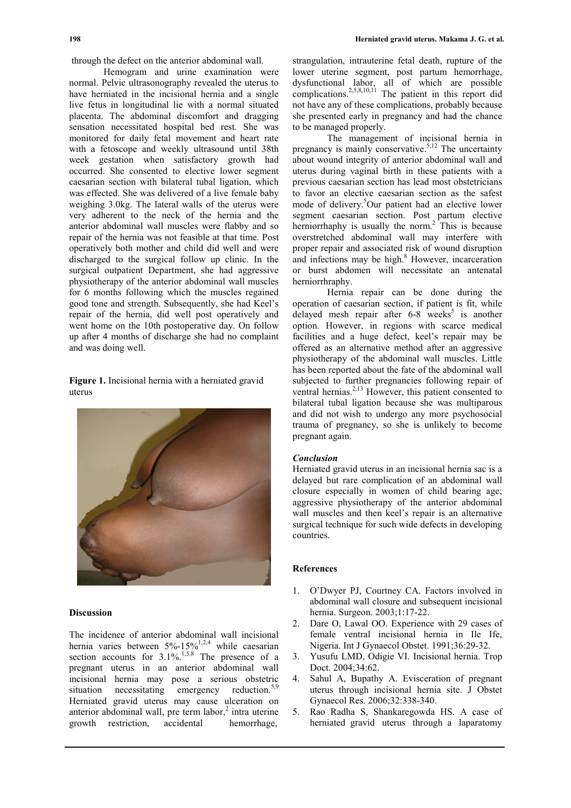through the defect on the anterior abdominal wall.

Hemogram and urine examination were normal. Pelvic ultrasonography revealed the uterus to have herniated in the incisional hernia and a single live fetus in longitudinal lie with a normal situated placenta. The abdominal discomfort and dragging sensation necessitated hospital bed rest. She was monitored for daily fetal movement and heart rate with a fetoscope and weekly ultrasound until 38th week gestation when satisfactory growth had occurred. She consented to elective lower segment caesarian section with bilateral tubal ligation, which was effected. She was delivered of a live female baby weighing 3.0kg. The lateral walls of the uterus were very adherent to the neck of the hernia and the anterior abdominal wall muscles were flabby and so repair of the hernia was not feasible at that time. Post operatively both mother and child did well and were discharged to the surgical follow up clinic. In the surgical outpatient Department, she had aggressive physiotherapy of the anterior abdominal wall muscles for 6 months following which the muscles regained good tone and strength. Subsequently, she had Keel's repair of the hernia, did well post operatively and went home on the 10th postoperative day. On follow up after 4 months of discharge she had no complaint and was doing well.

**Figure 1.** Incisional hernia with a herniated gravid uterus



#### **Discussion**

The incidence of anterior abdominal wall incisional hernia varies between 5%-15%<sup>1,2,4</sup> while caesarian section accounts for  $3.1\%$ <sup>1,5,8</sup> The presence of a 3. pregnant uterus in an anterior abdominal wall incisional hernia may pose a serious obstetric situation necessitating emergency reduction.<sup>5,9</sup> Herniated gravid uterus may cause ulceration on anterior abdominal wall, pre term labor,<sup>2</sup> intra uterine growth restriction, accidental hemorrhage,

strangulation, intrauterine fetal death, rupture of the lower uterine segment, post partum hemorrhage, dysfunctional labor, all of which are possible complications.<sup>2,5,8,10,11</sup> The patient in this report did not have any of these complications, probably because she presented early in pregnancy and had the chance to be managed properly.

The management of incisional hernia in pregnancy is mainly conservative.<sup>5,12</sup> The uncertainty about wound integrity of anterior abdominal wall and uterus during vaginal birth in these patients with a previous caesarian section has lead most obstetricians to favor an elective caesarian section as the safest mode of delivery.<sup>5</sup>Our patient had an elective lower segment caesarian section. Post partum elective herniorrhaphy is usually the norm.<sup>2</sup> This is because overstretched abdominal wall may interfere with proper repair and associated risk of wound disruption and infections may be high.<sup>8</sup> However, incarceration or burst abdomen will necessitate an antenatal herniorrhraphy.

Hernia repair can be done during the operation of caesarian section, if patient is fit, while delayed mesh repair after  $6-8$  weeks<sup>5</sup> is another option. However, in regions with scarce medical facilities and a huge defect, keel's repair may be offered as an alternative method after an aggressive physiotherapy of the abdominal wall muscles. Little has been reported about the fate of the abdominal wall subjected to further pregnancies following repair of ventral hernias.<sup>2,13</sup> However, this patient consented to bilateral tubal ligation because she was multiparous and did not wish to undergo any more psychosocial trauma of pregnancy, so she is unlikely to become pregnant again.

## *Conclusion*

Herniated gravid uterus in an incisional hernia sac is a delayed but rare complication of an abdominal wall closure especially in women of child bearing age; aggressive physiotherapy of the anterior abdominal wall muscles and then keel's repair is an alternative surgical technique for such wide defects in developing countries.

#### **References**

- 1. O'Dwyer PJ, Courtney CA. Factors involved in abdominal wall closure and subsequent incisional hernia. Surgeon. 2003;1:17-22.
- 2. Dare O, Lawal OO. Experience with 29 cases of female ventral incisional hernia in Ile Ife, Nigeria. Int J Gynaecol Obstet. 1991;36:29-32.
- 3. Yusufu LMD, Odigie VI. Incisional hernia. Trop Doct. 2004;34:62.
- 4. Sahul A, Bupathy A. Evisceration of pregnant uterus through incisional hernia site. J Obstet Gynaecol Res. 2006;32:338-340.
- 5. Rao Radha S, Shankaregowda HS. A case of herniated gravid uterus through a laparatomy